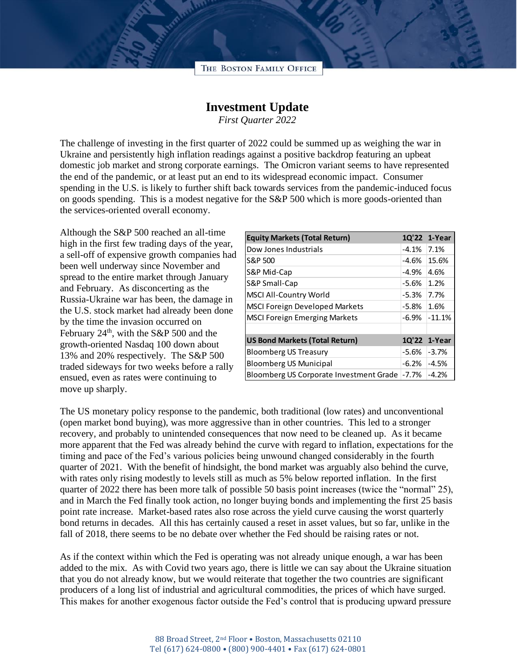

## **Investment Update**

*First Quarter 2022*

The challenge of investing in the first quarter of 2022 could be summed up as weighing the war in Ukraine and persistently high inflation readings against a positive backdrop featuring an upbeat domestic job market and strong corporate earnings. The Omicron variant seems to have represented the end of the pandemic, or at least put an end to its widespread economic impact. Consumer spending in the U.S. is likely to further shift back towards services from the pandemic-induced focus on goods spending. This is a modest negative for the S&P 500 which is more goods-oriented than the services-oriented overall economy.

Although the S&P 500 reached an all-time high in the first few trading days of the year, a sell-off of expensive growth companies had been well underway since November and spread to the entire market through January and February. As disconcerting as the Russia-Ukraine war has been, the damage in the U.S. stock market had already been done by the time the invasion occurred on February  $24<sup>th</sup>$ , with the S&P 500 and the growth-oriented Nasdaq 100 down about 13% and 20% respectively. The S&P 500 traded sideways for two weeks before a rally ensued, even as rates were continuing to move up sharply.

| <b>Equity Markets (Total Return)</b>    |          | 1Q'22 1-Year |
|-----------------------------------------|----------|--------------|
| Dow Jones Industrials                   | $-4.1%$  | 7.1%         |
| S&P 500                                 | $-4.6%$  | 15.6%        |
| S&P Mid-Cap                             | $-4.9%$  | 4.6%         |
| S&P Small-Cap                           | $-5.6%$  | 1.2%         |
| <b>MSCI All-Country World</b>           | $-5.3%$  | 7.7%         |
| <b>MSCI Foreign Developed Markets</b>   | $-5.8\%$ | 1.6%         |
| <b>MSCI Foreign Emerging Markets</b>    | $-6.9\%$ | $-11.1%$     |
|                                         |          |              |
| <b>US Bond Markets (Total Return)</b>   |          | 1Q'22 1-Year |
| <b>Bloomberg US Treasury</b>            | -5.6%    | $-3.7%$      |
| <b>Bloomberg US Municipal</b>           | $-6.2%$  | $-4.5%$      |
| Bloomberg US Corporate Investment Grade | $-7.7\%$ | $-4.2%$      |

The US monetary policy response to the pandemic, both traditional (low rates) and unconventional (open market bond buying), was more aggressive than in other countries. This led to a stronger recovery, and probably to unintended consequences that now need to be cleaned up. As it became more apparent that the Fed was already behind the curve with regard to inflation, expectations for the timing and pace of the Fed's various policies being unwound changed considerably in the fourth quarter of 2021. With the benefit of hindsight, the bond market was arguably also behind the curve, with rates only rising modestly to levels still as much as 5% below reported inflation. In the first quarter of 2022 there has been more talk of possible 50 basis point increases (twice the "normal" 25), and in March the Fed finally took action, no longer buying bonds and implementing the first 25 basis point rate increase. Market-based rates also rose across the yield curve causing the worst quarterly bond returns in decades. All this has certainly caused a reset in asset values, but so far, unlike in the fall of 2018, there seems to be no debate over whether the Fed should be raising rates or not.

As if the context within which the Fed is operating was not already unique enough, a war has been added to the mix. As with Covid two years ago, there is little we can say about the Ukraine situation that you do not already know, but we would reiterate that together the two countries are significant producers of a long list of industrial and agricultural commodities, the prices of which have surged. This makes for another exogenous factor outside the Fed's control that is producing upward pressure